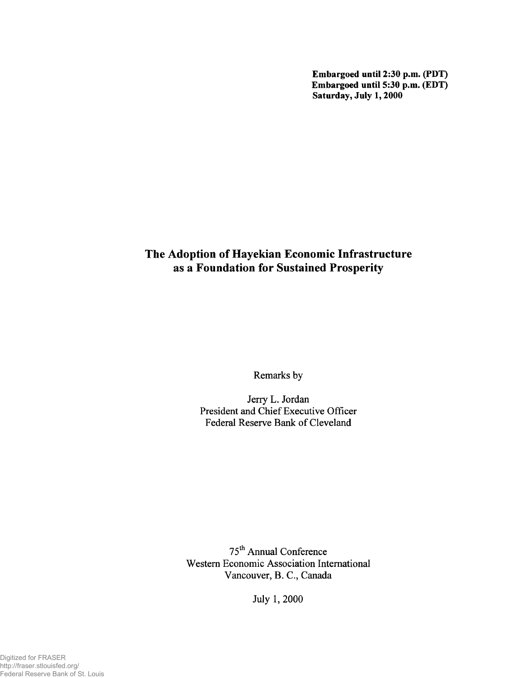**Embargoed until 2:30 p.m. (PDT) Embargoed until 5:30 p.m. (EDT) Saturday, July 1,2000**

# **The Adoption of Hayekian Economic Infrastructure as a Foundation for Sustained Prosperity**

Remarks by

Jerry L. Jordan President and Chief Executive Officer Federal Reserve Bank of Cleveland

75th Annual Conference Western Economic Association International Vancouver, B. C., Canada

**July 1,2000**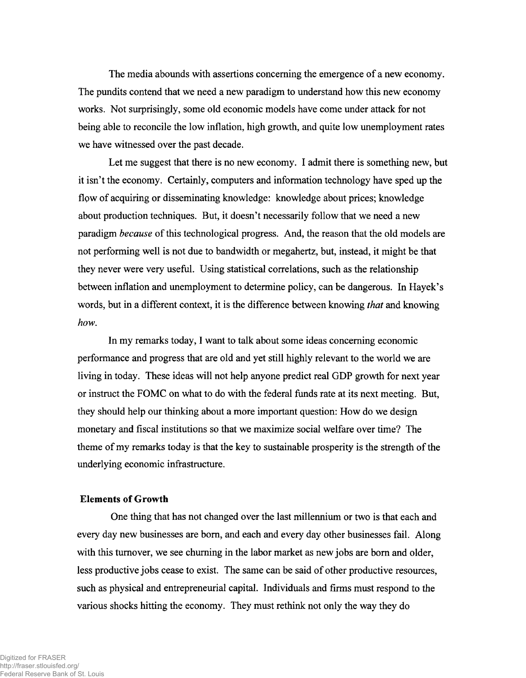The media abounds with assertions concerning the emergence of a new economy. The pundits contend that we need a new paradigm to understand how this new economy works. Not surprisingly, some old economic models have come under attack for not being able to reconcile the low inflation, high growth, and quite low unemployment rates we have witnessed over the past decade.

Let me suggest that there is no new economy. I admit there is something new, but it isn't the economy. Certainly, computers and information technology have sped up the flow of acquiring or disseminating knowledge: knowledge about prices; knowledge about production techniques. But, it doesn't necessarily follow that we need a new paradigm *because* of this technological progress. And, the reason that the old models are not performing well is not due to bandwidth or megahertz, but, instead, it might be that they never were very useful. Using statistical correlations, such as the relationship between inflation and unemployment to determine policy, can be dangerous. In Hayek's words, but in a different context, it is the difference between knowing *that* and knowing *how.*

In my remarks today, I want to talk about some ideas concerning economic performance and progress that are old and yet still highly relevant to the world we are living in today. These ideas will not help anyone predict real GDP growth for next year or instruct the FOMC on what to do with the federal funds rate at its next meeting. But, they should help our thinking about a more important question: How do we design monetary and fiscal institutions so that we maximize social welfare over time? The theme of my remarks today is that the key to sustainable prosperity is the strength of the underlying economic infrastructure.

### **Elements of Growth**

One thing that has not changed over the last millennium or two is that each and every day new businesses are bom, and each and every day other businesses fail. Along with this turnover, we see churning in the labor market as new jobs are bom and older, less productive jobs cease to exist. The same can be said of other productive resources, such as physical and entrepreneurial capital. Individuals and firms must respond to the various shocks hitting the economy. They must rethink not only the way they do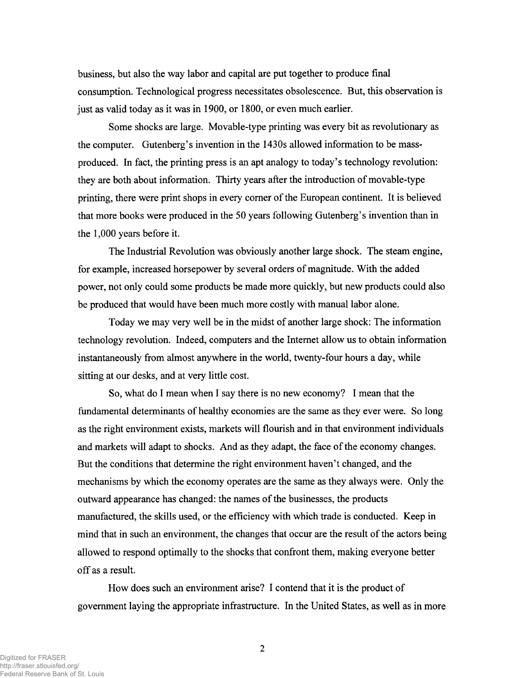business, but also the way labor and capital are put together to produce final consumption. Technological progress necessitates obsolescence. But, this observation is just as valid today as it was in 1900, or 1800, or even much earlier.

Some shocks are large. Movable-type printing was every bit as revolutionary as the computer. Gutenberg's invention in the 1430s allowed information to be massproduced. In fact, the printing press is an apt analogy to today's technology revolution: they are both about information. Thirty years after the introduction of movable-type printing, there were print shops in every comer of the European continent. It is believed that more books were produced in the 50 years following Gutenberg's invention than in the 1,000 years before it.

The Industrial Revolution was obviously another large shock. The steam engine, for example, increased horsepower by several orders of magnitude. With the added power, not only could some products be made more quickly, but new products could also be produced that would have been much more costly with manual labor alone.

Today we may very well be in the midst of another large shock: The information technology revolution. Indeed, computers and the Internet allow us to obtain information instantaneously from almost anywhere in the world, twenty-four hours a day, while sitting at our desks, and at very little cost.

So, what do I mean when I say there is no new economy? I mean that the fundamental determinants of healthy economies are the same as they ever were. So long as the right environment exists, markets will flourish and in that environment individuals and markets will adapt to shocks. And as they adapt, the face of the economy changes. But the conditions that determine the right environment haven't changed, and the mechanisms by which the economy operates are the same as they always were. Only the outward appearance has changed: the names of the businesses, the products manufactured, the skills used, or the efficiency with which trade is conducted. Keep in mind that in such an environment, the changes that occur are the result of the actors being allowed to respond optimally to the shocks that confront them, making everyone better off as a result.

How does such an environment arise? I contend that it is the product of government laying the appropriate infrastructure. In the United States, as well as in more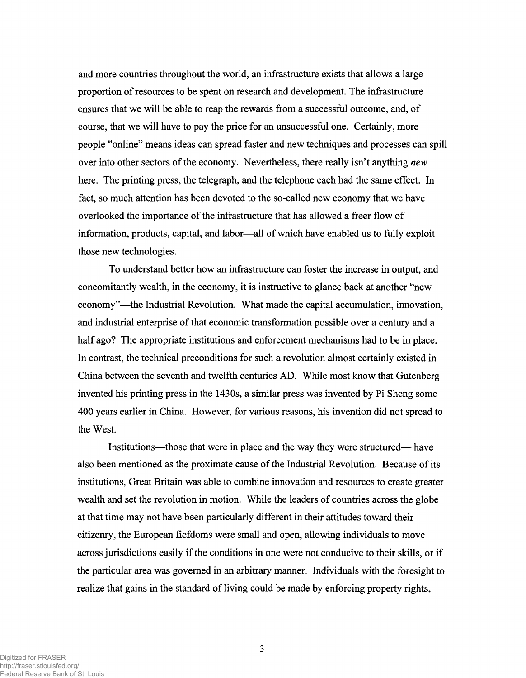and more countries throughout the world, an infrastructure exists that allows a large proportion of resources to be spent on research and development. The infrastructure ensures that we will be able to reap the rewards from a successful outcome, and, of course, that we will have to pay the price for an unsuccessful one. Certainly, more people "online" means ideas can spread faster and new techniques and processes can spill over into other sectors of the economy. Nevertheless, there really isn't anything *new* here. The printing press, the telegraph, and the telephone each had the same effect. In fact, so much attention has been devoted to the so-called new economy that we have overlooked the importance of the infrastructure that has allowed a freer flow of information, products, capital, and labor—all of which have enabled us to fully exploit those new technologies.

To understand better how an infrastructure can foster the increase in output, and concomitantly wealth, in the economy, it is instructive to glance back at another "new economy"—the Industrial Revolution. What made the capital accumulation, innovation, and industrial enterprise of that economic transformation possible over a century and a half ago? The appropriate institutions and enforcement mechanisms had to be in place. In contrast, the technical preconditions for such a revolution almost certainly existed in China between the seventh and twelfth centuries AD. While most know that Gutenberg invented his printing press in the 1430s, a similar press was invented by Pi Sheng some 400 years earlier in China. However, for various reasons, his invention did not spread to the West.

Institutions—those that were in place and the way they were structured— have also been mentioned as the proximate cause of the Industrial Revolution. Because of its institutions, Great Britain was able to combine innovation and resources to create greater wealth and set the revolution in motion. While the leaders of countries across the globe at that time may not have been particularly different in their attitudes toward their citizenry, the European fiefdoms were small and open, allowing individuals to move across jurisdictions easily if the conditions in one were not conducive to their skills, or if the particular area was governed in an arbitrary manner. Individuals with the foresight to realize that gains in the standard of living could be made by enforcing property rights,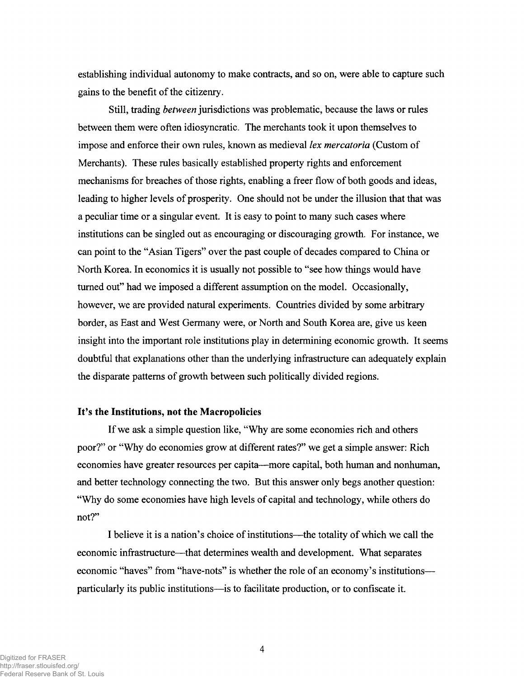establishing individual autonomy to make contracts, and so on, were able to capture such gains to the benefit of the citizenry.

Still, trading *between* jurisdictions was problematic, because the laws or rules between them were often idiosyncratic. The merchants took it upon themselves to impose and enforce their own rules, known as medieval *lex mercatoria* (Custom of Merchants). These rules basically established property rights and enforcement mechanisms for breaches of those rights, enabling a freer flow of both goods and ideas, leading to higher levels of prosperity. One should not be under the illusion that that was a peculiar time or a singular event. It is easy to point to many such cases where institutions can be singled out as encouraging or discouraging growth. For instance, we can point to the "Asian Tigers" over the past couple of decades compared to China or North Korea. In economics it is usually not possible to "see how things would have turned out" had we imposed a different assumption on the model. Occasionally, however, we are provided natural experiments. Countries divided by some arbitrary border, as East and West Germany were, or North and South Korea are, give us keen insight into the important role institutions play in determining economic growth. It seems doubtful that explanations other than the underlying infrastructure can adequately explain the disparate patterns of growth between such politically divided regions.

## **It's the Institutions, not the Macropolicies**

If we ask a simple question like, "Why are some economies rich and others poor?" or "Why do economies grow at different rates?" we get a simple answer: Rich economies have greater resources per capita—more capital, both human and nonhuman, and better technology connecting the two. But this answer only begs another question: "Why do some economies have high levels of capital and technology, while others do not?"

I believe it is a nation's choice of institutions—the totality of which we call the economic infrastructure—that determines wealth and development. What separates economic "haves" from "have-nots" is whether the role of an economy's institutions particularly its public institutions—is to facilitate production, or to confiscate it.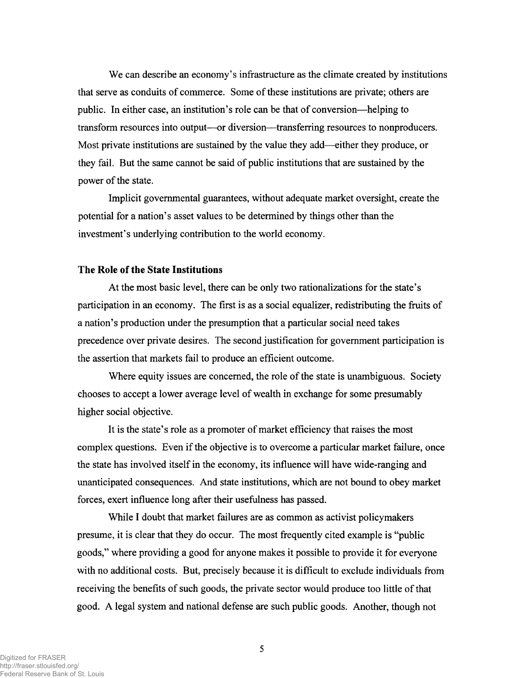We can describe an economy's infrastructure as the climate created by institutions that serve as conduits of commerce. Some of these institutions are private; others are public. In either case, an institution's role can be that of conversion—helping to transform resources into output—or diversion—transferring resources to nonproducers. Most private institutions are sustained by the value they add—either they produce, or they fail. But the same cannot be said of public institutions that are sustained by the power of the state.

Implicit governmental guarantees, without adequate market oversight, create the potential for a nation's asset values to be determined by things other than the investment's underlying contribution to the world economy.

#### **The Role of the State Institutions**

At the most basic level, there can be only two rationalizations for the state's participation in an economy. The first is as a social equalizer, redistributing the fruits of a nation's production under the presumption that a particular social need takes precedence over private desires. The second justification for government participation is the assertion that markets fail to produce an efficient outcome.

Where equity issues are concerned, the role of the state is unambiguous. Society chooses to accept a lower average level of wealth in exchange for some presumably higher social objective.

It is the state's role as a promoter of market efficiency that raises the most complex questions. Even if the objective is to overcome a particular market failure, once the state has involved itself in the economy, its influence will have wide-ranging and unanticipated consequences. And state institutions, which are not bound to obey market forces, exert influence long after their usefulness has passed.

While I doubt that market failures are as common as activist policymakers presume, it is clear that they do occur. The most frequently cited example is "public goods," where providing a good for anyone makes it possible to provide it for everyone with no additional costs. But, precisely because it is difficult to exclude individuals from receiving the benefits of such goods, the private sector would produce too little of that good. A legal system and national defense are such public goods. Another, though not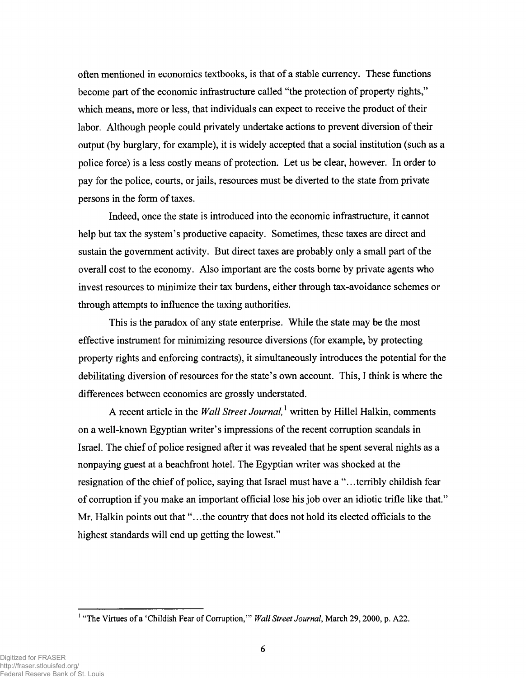often mentioned in economics textbooks, is that of a stable currency. These functions become part of the economic infrastructure called "the protection of property rights," which means, more or less, that individuals can expect to receive the product of their labor. Although people could privately undertake actions to prevent diversion of their output (by burglary, for example), it is widely accepted that a social institution (such as a police force) is a less costly means of protection. Let us be clear, however. In order to pay for the police, courts, or jails, resources must be diverted to the state from private persons in the form of taxes.

Indeed, once the state is introduced into the economic infrastructure, it cannot help but tax the system's productive capacity. Sometimes, these taxes are direct and sustain the government activity. But direct taxes are probably only a small part of the overall cost to the economy. Also important are the costs borne by private agents who invest resources to minimize their tax burdens, either through tax-avoidance schemes or through attempts to influence the taxing authorities.

This is the paradox of any state enterprise. While the state may be the most effective instrument for minimizing resource diversions (for example, by protecting property rights and enforcing contracts), it simultaneously introduces the potential for the debilitating diversion of resources for the state's own account. This, I think is where the differences between economies are grossly understated.

A recent article in the *Wall Street Journal*,<sup>1</sup> written by Hillel Halkin, comments on a well-known Egyptian writer's impressions of the recent corruption scandals in Israel. The chief of police resigned after it was revealed that he spent several nights as a nonpaying guest at a beachfront hotel. The Egyptian writer was shocked at the resignation of the chief of police, saying that Israel must have a ".. .terribly childish fear of corruption if you make an important official lose his job over an idiotic trifle like that." Mr. Halkin points out that ".. .the country that does not hold its elected officials to the highest standards will end up getting the lowest."

**<sup>1 &</sup>quot;The Virtues of a 'Childish Fear of Corruption,'"** *Wall Street Journal,* **March 29,2000, p. A22.**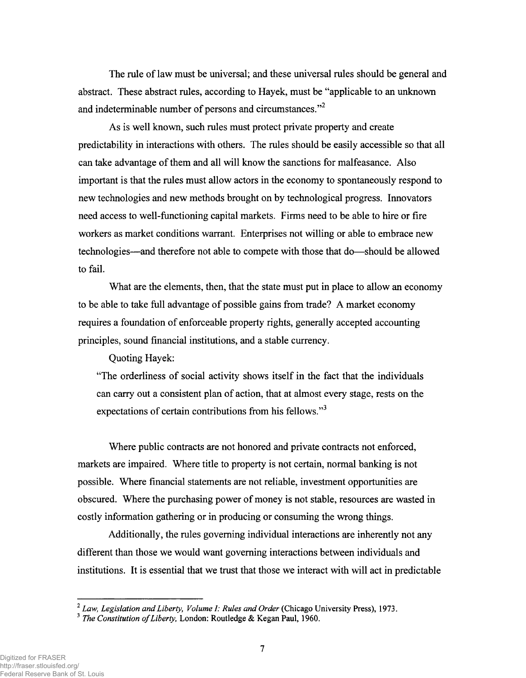The rule of law must be universal; and these universal rules should be general and abstract. These abstract rules, according to Hayek, must be "applicable to an unknown and indeterminable number of persons and circumstances."

As is well known, such rules must protect private property and create predictability in interactions with others. The rules should be easily accessible so that all can take advantage of them and all will know the sanctions for malfeasance. Also important is that the rules must allow actors in the economy to spontaneously respond to new technologies and new methods brought on by technological progress. Innovators need access to well-functioning capital markets. Firms need to be able to hire or fire workers as market conditions warrant. Enterprises not willing or able to embrace new technologies—and therefore not able to compete with those that do—should be allowed to fail.

What are the elements, then, that the state must put in place to allow an economy to be able to take full advantage of possible gains from trade? A market economy requires a foundation of enforceable property rights, generally accepted accounting principles, sound financial institutions, and a stable currency.

Quoting Hayek:

"The orderliness of social activity shows itself in the fact that the individuals can carry out a consistent plan of action, that at almost every stage, rests on the expectations of certain contributions from his fellows."<sup>3</sup>

Where public contracts are not honored and private contracts not enforced, markets are impaired. Where title to property is not certain, normal banking is not possible. Where financial statements are not reliable, investment opportunities are obscured. Where the purchasing power of money is not stable, resources are wasted in costly information gathering or in producing or consuming the wrong things.

Additionally, the rules governing individual interactions are inherently not any different than those we would want governing interactions between individuals and institutions. It is essential that we trust that those we interact with will act in predictable

**<sup>2</sup>** *Law, Legislation and Liberty, Volume I: Rules and Order* **(Chicago University Press), 1973.**

**<sup>3</sup>** *The Constitution of Liberty,* **London: Routledge & Kegan Paul, 1960.**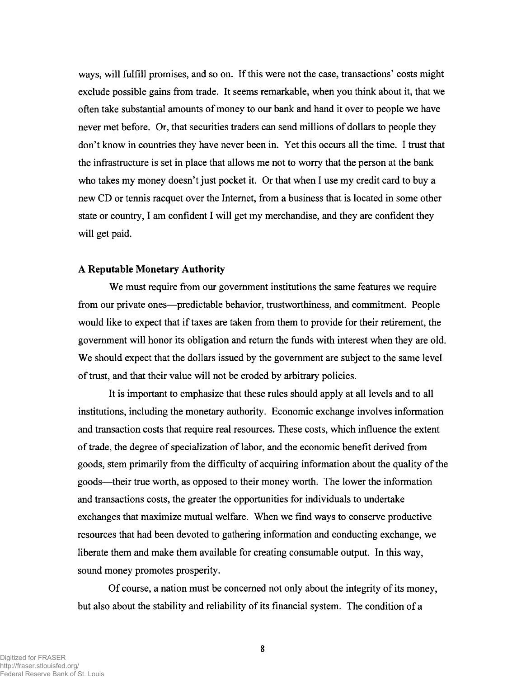ways, will fulfill promises, and so on. If this were not the case, transactions' costs might exclude possible gains from trade. It seems remarkable, when you think about it, that we often take substantial amounts of money to our bank and hand it over to people we have never met before. Or, that securities traders can send millions of dollars to people they don't know in countries they have never been in. Yet this occurs all the time. I trust that the infrastructure is set in place that allows me not to worry that the person at the bank who takes my money doesn't just pocket it. Or that when I use my credit card to buy a new CD or tennis racquet over the Internet, from a business that is located in some other state or country, I am confident I will get my merchandise, and they are confident they will get paid.

#### **A Reputable Monetary Authority**

We must require from our government institutions the same features we require from our private ones—predictable behavior, trustworthiness, and commitment. People would like to expect that if taxes are taken from them to provide for their retirement, the government will honor its obligation and return the funds with interest when they are old. We should expect that the dollars issued by the government are subject to the same level of trust, and that their value will not be eroded by arbitrary policies.

It is important to emphasize that these rules should apply at all levels and to all institutions, including the monetary authority. Economic exchange involves information and transaction costs that require real resources. These costs, which influence the extent of trade, the degree of specialization of labor, and the economic benefit derived from goods, stem primarily from the difficulty of acquiring information about the quality of the goods—their true worth, as opposed to their money worth. The lower the information and transactions costs, the greater the opportunities for individuals to undertake exchanges that maximize mutual welfare. When we find ways to conserve productive resources that had been devoted to gathering information and conducting exchange, we liberate them and make them available for creating consumable output. In this way, sound money promotes prosperity.

Of course, a nation must be concerned not only about the integrity of its money, but also about the stability and reliability of its financial system. The condition of a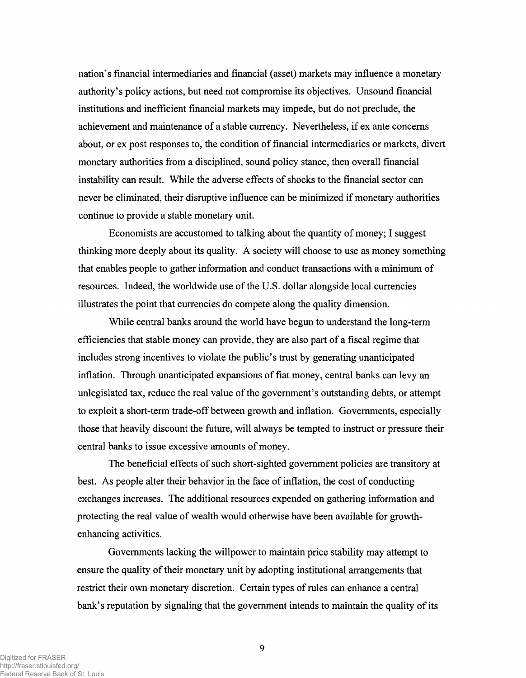nation's financial intermediaries and financial (asset) markets may influence a monetary authority's policy actions, but need not compromise its objectives. Unsound financial institutions and inefficient financial markets may impede, but do not preclude, the achievement and maintenance of a stable currency. Nevertheless, if ex ante concerns about, or ex post responses to, the condition of financial intermediaries or markets, divert monetary authorities from a disciplined, sound policy stance, then overall financial instability can result. While the adverse effects of shocks to the financial sector can never be eliminated, their disruptive influence can be minimized if monetary authorities continue to provide a stable monetary unit.

Economists are accustomed to talking about the quantity of money; I suggest thinking more deeply about its quality. A society will choose to use as money something that enables people to gather information and conduct transactions with a minimum of resources. Indeed, the worldwide use of the U.S. dollar alongside local currencies illustrates the point that currencies do compete along the quality dimension.

While central banks around the world have begun to understand the long-term efficiencies that stable money can provide, they are also part of a fiscal regime that includes strong incentives to violate the public's trust by generating unanticipated inflation. Through unanticipated expansions of fiat money, central banks can levy an unlegislated tax, reduce the real value of the government's outstanding debts, or attempt to exploit a short-term trade-off between growth and inflation. Governments, especially those that heavily discount the future, will always be tempted to instruct or pressure their central banks to issue excessive amounts of money.

The beneficial effects of such short-sighted government policies are transitory at best. As people alter their behavior in the face of inflation, the cost of conducting exchanges increases. The additional resources expended on gathering information and protecting the real value of wealth would otherwise have been available for growthenhancing activities.

Governments lacking the willpower to maintain price stability may attempt to ensure the quality of their monetary unit by adopting institutional arrangements that restrict their own monetary discretion. Certain types of rules can enhance a central bank's reputation by signaling that the government intends to maintain the quality of its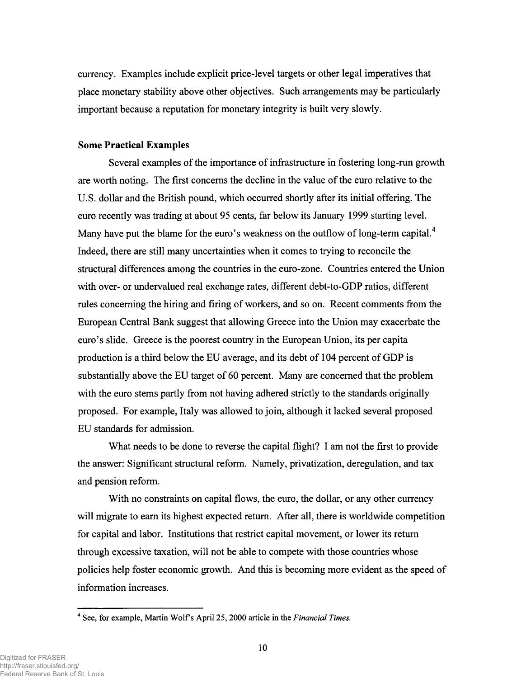currency. Examples include explicit price-level targets or other legal imperatives that place monetary stability above other objectives. Such arrangements may be particularly important because a reputation for monetary integrity is built very slowly.

#### **Some Practical Examples**

Several examples of the importance of infrastructure in fostering long-run growth are worth noting. The first concerns the decline in the value of the euro relative to the U.S. dollar and the British pound, which occurred shortly after its initial offering. The euro recently was trading at about 95 cents, far below its January 1999 starting level. Many have put the blame for the euro's weakness on the outflow of long-term capital.<sup>4</sup> Indeed, there are still many uncertainties when it comes to trying to reconcile the structural differences among the countries in the euro-zone. Countries entered the Union with over- or undervalued real exchange rates, different debt-to-GDP ratios, different rules concerning the hiring and firing of workers, and so on. Recent comments from the European Central Bank suggest that allowing Greece into the Union may exacerbate the euro's slide. Greece is the poorest country in the European Union, its per capita production is a third below the EU average, and its debt of 104 percent of GDP is substantially above the EU target of 60 percent. Many are concerned that the problem with the euro stems partly from not having adhered strictly to the standards originally proposed. For example, Italy was allowed to join, although it lacked several proposed EU standards for admission.

What needs to be done to reverse the capital flight? I am not the first to provide the answer: Significant structural reform. Namely, privatization, deregulation, and tax and pension reform.

With no constraints on capital flows, the euro, the dollar, or any other currency will migrate to earn its highest expected return. After all, there is worldwide competition for capital and labor. Institutions that restrict capital movement, or lower its return through excessive taxation, will not be able to compete with those countries whose policies help foster economic growth. And this is becoming more evident as the speed of information increases.

<sup>&</sup>lt;sup>4</sup> See, for example, Martin Wolf's April 25, 2000 article in the *Financial Times*.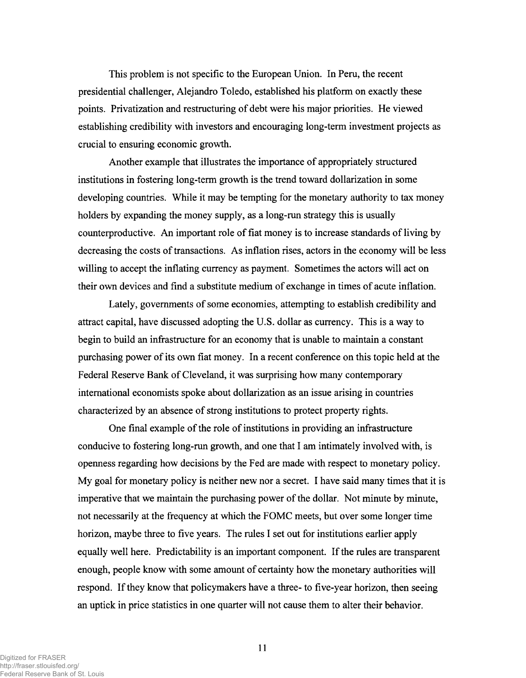This problem is not specific to the European Union. In Peru, the recent presidential challenger, Alejandro Toledo, established his platform on exactly these points. Privatization and restructuring of debt were his major priorities. He viewed establishing credibility with investors and encouraging long-term investment projects as crucial to ensuring economic growth.

Another example that illustrates the importance of appropriately structured institutions in fostering long-term growth is the trend toward dollarization in some developing countries. While it may be tempting for the monetary authority to tax money holders by expanding the money supply, as a long-run strategy this is usually counterproductive. An important role of fiat money is to increase standards of living by decreasing the costs of transactions. As inflation rises, actors in the economy will be less willing to accept the inflating currency as payment. Sometimes the actors will act on their own devices and find a substitute medium of exchange in times of acute inflation.

Lately, governments of some economies, attempting to establish credibility and attract capital, have discussed adopting the U.S. dollar as currency. This is a way to begin to build an infrastructure for an economy that is unable to maintain a constant purchasing power of its own fiat money. In a recent conference on this topic held at the Federal Reserve Bank of Cleveland, it was surprising how many contemporary international economists spoke about dollarization as an issue arising in countries characterized by an absence of strong institutions to protect property rights.

One final example of the role of institutions in providing an infrastructure conducive to fostering long-run growth, and one that I am intimately involved with, is openness regarding how decisions by the Fed are made with respect to monetary policy. My goal for monetary policy is neither new nor a secret. I have said many times that it is imperative that we maintain the purchasing power of the dollar. Not minute by minute, not necessarily at the frequency at which the FOMC meets, but over some longer time horizon, maybe three to five years. The rules I set out for institutions earlier apply equally well here. Predictability is an important component. If the rules are transparent enough, people know with some amount of certainty how the monetary authorities will respond. If they know that policymakers have a three- to five-year horizon, then seeing an uptick in price statistics in one quarter will not cause them to alter their behavior.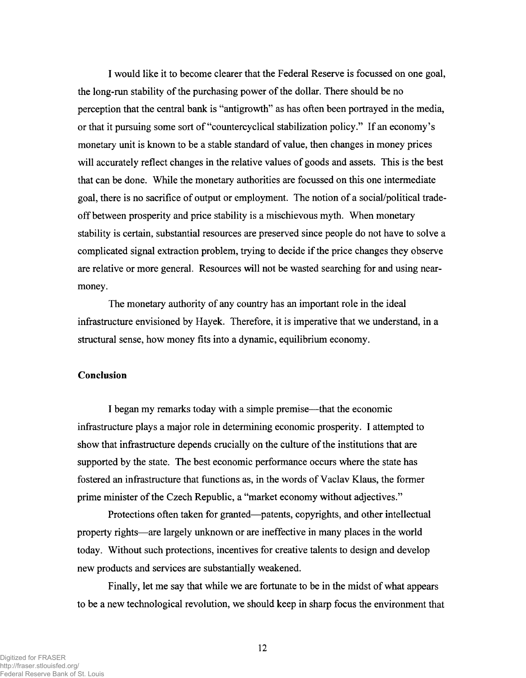I would like it to become clearer that the Federal Reserve is focussed on one goal, the long-run stability of the purchasing power of the dollar. There should be no perception that the central bank is "antigrowth" as has often been portrayed in the media, or that it pursuing some sort of "countercyclical stabilization policy." If an economy's monetary unit is known to be a stable standard of value, then changes in money prices will accurately reflect changes in the relative values of goods and assets. This is the best that can be done. While the monetary authorities are focussed on this one intermediate goal, there is no sacrifice of output or employment. The notion of a social/political tradeoff between prosperity and price stability is a mischievous myth. When monetary stability is certain, substantial resources are preserved since people do not have to solve a complicated signal extraction problem, trying to decide if the price changes they observe are relative or more general. Resources will not be wasted searching for and using nearmoney.

The monetary authority of any country has an important role in the ideal infrastructure envisioned by Hayek. Therefore, it is imperative that we understand, in a structural sense, how money fits into a dynamic, equilibrium economy.

#### **Conclusion**

I began my remarks today with a simple premise—that the economic infrastructure plays a major role in determining economic prosperity. I attempted to show that infrastructure depends crucially on the culture of the institutions that are supported by the state. The best economic performance occurs where the state has fostered an infrastructure that functions as, in the words of Vaclav Klaus, the former prime minister of the Czech Republic, a "market economy without adjectives."

Protections often taken for granted—patents, copyrights, and other intellectual property rights—are largely unknown or are ineffective in many places in the world today. Without such protections, incentives for creative talents to design and develop new products and services are substantially weakened.

Finally, let me say that while we are fortunate to be in the midst of what appears to be a new technological revolution, we should keep in sharp focus the environment that